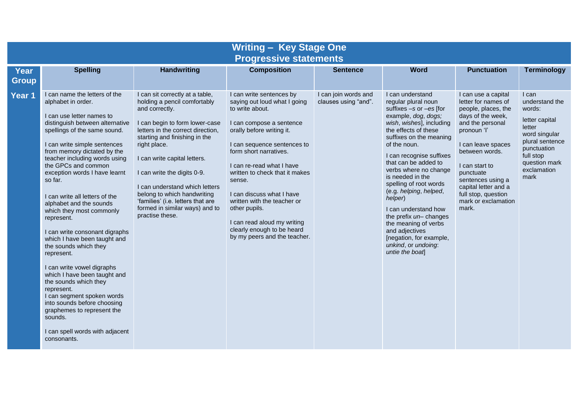| <b>Writing - Key Stage One</b><br><b>Progressive statements</b> |                                                                                                                                                                                                                                                                                                                                                                                                                                                                                                                                                                                                                                                                                                                                                                                                     |                                                                                                                                                                                                                                                                                                                                                                                                                                     |                                                                                                                                                                                                                                                                                                                                                                                                                                                  |                                              |                                                                                                                                                                                                                                                                                                                                                                                                                                                                                                                         |                                                                                                                                                                                                                                                                                                      |                                                                                                                                                                       |
|-----------------------------------------------------------------|-----------------------------------------------------------------------------------------------------------------------------------------------------------------------------------------------------------------------------------------------------------------------------------------------------------------------------------------------------------------------------------------------------------------------------------------------------------------------------------------------------------------------------------------------------------------------------------------------------------------------------------------------------------------------------------------------------------------------------------------------------------------------------------------------------|-------------------------------------------------------------------------------------------------------------------------------------------------------------------------------------------------------------------------------------------------------------------------------------------------------------------------------------------------------------------------------------------------------------------------------------|--------------------------------------------------------------------------------------------------------------------------------------------------------------------------------------------------------------------------------------------------------------------------------------------------------------------------------------------------------------------------------------------------------------------------------------------------|----------------------------------------------|-------------------------------------------------------------------------------------------------------------------------------------------------------------------------------------------------------------------------------------------------------------------------------------------------------------------------------------------------------------------------------------------------------------------------------------------------------------------------------------------------------------------------|------------------------------------------------------------------------------------------------------------------------------------------------------------------------------------------------------------------------------------------------------------------------------------------------------|-----------------------------------------------------------------------------------------------------------------------------------------------------------------------|
| <b>Year</b><br><b>Group</b>                                     | <b>Spelling</b>                                                                                                                                                                                                                                                                                                                                                                                                                                                                                                                                                                                                                                                                                                                                                                                     | <b>Handwriting</b>                                                                                                                                                                                                                                                                                                                                                                                                                  | <b>Composition</b>                                                                                                                                                                                                                                                                                                                                                                                                                               | <b>Sentence</b>                              | <b>Word</b>                                                                                                                                                                                                                                                                                                                                                                                                                                                                                                             | <b>Punctuation</b>                                                                                                                                                                                                                                                                                   | <b>Terminology</b>                                                                                                                                                    |
| Year 1                                                          | I can name the letters of the<br>alphabet in order.<br>I can use letter names to<br>distinguish between alternative<br>spellings of the same sound.<br>I can write simple sentences<br>from memory dictated by the<br>teacher including words using<br>the GPCs and common<br>exception words I have learnt<br>so far.<br>I can write all letters of the<br>alphabet and the sounds<br>which they most commonly<br>represent.<br>I can write consonant digraphs<br>which I have been taught and<br>the sounds which they<br>represent.<br>I can write vowel digraphs<br>which I have been taught and<br>the sounds which they<br>represent.<br>I can segment spoken words<br>into sounds before choosing<br>graphemes to represent the<br>sounds.<br>I can spell words with adjacent<br>consonants. | I can sit correctly at a table,<br>holding a pencil comfortably<br>and correctly.<br>I can begin to form lower-case<br>letters in the correct direction,<br>starting and finishing in the<br>right place.<br>I can write capital letters.<br>I can write the digits 0-9.<br>I can understand which letters<br>belong to which handwriting<br>'families' (i.e. letters that are<br>formed in similar ways) and to<br>practise these. | I can write sentences by<br>saying out loud what I going<br>to write about.<br>I can compose a sentence<br>orally before writing it.<br>I can sequence sentences to<br>form short narratives.<br>I can re-read what I have<br>written to check that it makes<br>sense.<br>I can discuss what I have<br>written with the teacher or<br>other pupils.<br>I can read aloud my writing<br>clearly enough to be heard<br>by my peers and the teacher. | I can join words and<br>clauses using "and". | I can understand<br>regular plural noun<br>suffixes -s or -es [for<br>example, dog, dogs;<br>wish, wishes], including<br>the effects of these<br>suffixes on the meaning<br>of the noun.<br>I can recognise suffixes<br>that can be added to<br>verbs where no change<br>is needed in the<br>spelling of root words<br>(e.g. helping, helped,<br>helper)<br>I can understand how<br>the prefix un-changes<br>the meaning of verbs<br>and adjectives<br>[negation, for example,<br>unkind, or undoing:<br>untie the boat | I can use a capital<br>letter for names of<br>people, places, the<br>days of the week,<br>and the personal<br>pronoun 'l'<br>I can leave spaces<br>between words.<br>I can start to<br>punctuate<br>sentences using a<br>capital letter and a<br>full stop, question<br>mark or exclamation<br>mark. | I can<br>understand the<br>words:<br>letter capital<br>letter<br>word singular<br>plural sentence<br>punctuation<br>full stop<br>question mark<br>exclamation<br>mark |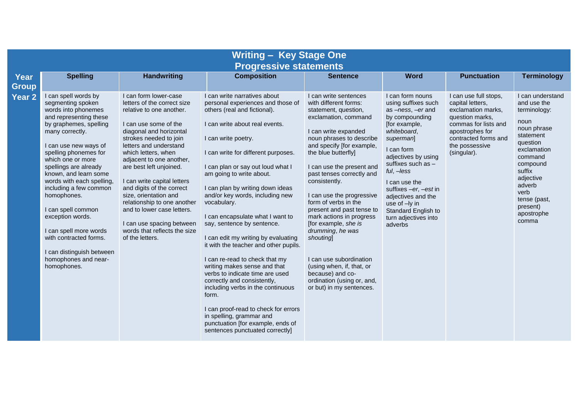| <b>Writing - Key Stage One</b><br><b>Progressive statements</b> |                                                                                                                                                                                                                                                                                                                                                                                                                                                                                                          |                                                                                                                                                                                                                                                                                                                                                                                                                                                                                                          |                                                                                                                                                                                                                                                                                                                                                                                                                                                                                                                                                                                                                                                                                                                                                                                                                                          |                                                                                                                                                                                                                                                                                                                                                                                                                                                                                                                                                                                               |                                                                                                                                                                                                                                                                                                                                                       |                                                                                                                                                                                        |                                                                                                                                                                                                                                   |  |
|-----------------------------------------------------------------|----------------------------------------------------------------------------------------------------------------------------------------------------------------------------------------------------------------------------------------------------------------------------------------------------------------------------------------------------------------------------------------------------------------------------------------------------------------------------------------------------------|----------------------------------------------------------------------------------------------------------------------------------------------------------------------------------------------------------------------------------------------------------------------------------------------------------------------------------------------------------------------------------------------------------------------------------------------------------------------------------------------------------|------------------------------------------------------------------------------------------------------------------------------------------------------------------------------------------------------------------------------------------------------------------------------------------------------------------------------------------------------------------------------------------------------------------------------------------------------------------------------------------------------------------------------------------------------------------------------------------------------------------------------------------------------------------------------------------------------------------------------------------------------------------------------------------------------------------------------------------|-----------------------------------------------------------------------------------------------------------------------------------------------------------------------------------------------------------------------------------------------------------------------------------------------------------------------------------------------------------------------------------------------------------------------------------------------------------------------------------------------------------------------------------------------------------------------------------------------|-------------------------------------------------------------------------------------------------------------------------------------------------------------------------------------------------------------------------------------------------------------------------------------------------------------------------------------------------------|----------------------------------------------------------------------------------------------------------------------------------------------------------------------------------------|-----------------------------------------------------------------------------------------------------------------------------------------------------------------------------------------------------------------------------------|--|
| <b>Year</b><br>Group                                            | <b>Spelling</b>                                                                                                                                                                                                                                                                                                                                                                                                                                                                                          | <b>Handwriting</b>                                                                                                                                                                                                                                                                                                                                                                                                                                                                                       | <b>Composition</b>                                                                                                                                                                                                                                                                                                                                                                                                                                                                                                                                                                                                                                                                                                                                                                                                                       | <b>Sentence</b>                                                                                                                                                                                                                                                                                                                                                                                                                                                                                                                                                                               | <b>Word</b>                                                                                                                                                                                                                                                                                                                                           | <b>Punctuation</b>                                                                                                                                                                     | <b>Terminology</b>                                                                                                                                                                                                                |  |
| <b>Year 2</b>                                                   | I can spell words by<br>segmenting spoken<br>words into phonemes<br>and representing these<br>by graphemes, spelling<br>many correctly.<br>I can use new ways of<br>spelling phonemes for<br>which one or more<br>spellings are already<br>known, and learn some<br>words with each spelling,<br>including a few common<br>homophones.<br>I can spell common<br>exception words.<br>I can spell more words<br>with contracted forms.<br>I can distinguish between<br>homophones and near-<br>homophones. | I can form lower-case<br>letters of the correct size<br>relative to one another.<br>I can use some of the<br>diagonal and horizontal<br>strokes needed to join<br>letters and understand<br>which letters, when<br>adjacent to one another,<br>are best left unjoined.<br>I can write capital letters<br>and digits of the correct<br>size, orientation and<br>relationship to one another<br>and to lower case letters.<br>I can use spacing between<br>words that reflects the size<br>of the letters. | I can write narratives about<br>personal experiences and those of<br>others (real and fictional).<br>I can write about real events.<br>I can write poetry.<br>I can write for different purposes.<br>I can plan or say out loud what I<br>am going to write about.<br>I can plan by writing down ideas<br>and/or key words, including new<br>vocabulary.<br>I can encapsulate what I want to<br>say, sentence by sentence.<br>I can edit my writing by evaluating<br>it with the teacher and other pupils.<br>I can re-read to check that my<br>writing makes sense and that<br>verbs to indicate time are used<br>correctly and consistently,<br>including verbs in the continuous<br>form.<br>I can proof-read to check for errors<br>in spelling, grammar and<br>punctuation [for example, ends of<br>sentences punctuated correctly] | I can write sentences<br>with different forms:<br>statement, question,<br>exclamation, command<br>I can write expanded<br>noun phrases to describe<br>and specify [for example,<br>the blue butterfly]<br>I can use the present and<br>past tenses correctly and<br>consistently.<br>I can use the progressive<br>form of verbs in the<br>present and past tense to<br>mark actions in progress<br>[for example, she is<br>drumming, he was<br>shouting<br>I can use subordination<br>(using when, if, that, or<br>because) and co-<br>ordination (using or, and,<br>or but) in my sentences. | I can form nouns<br>using suffixes such<br>as -ness, -er and<br>by compounding<br>[for example,<br>whiteboard,<br>superman<br>I can form<br>adjectives by using<br>suffixes such as -<br>$ful, -less$<br>I can use the<br>suffixes $-er$ , $-est$ in<br>adjectives and the<br>use of -ly in<br>Standard English to<br>turn adjectives into<br>adverbs | I can use full stops,<br>capital letters.<br>exclamation marks,<br>question marks,<br>commas for lists and<br>apostrophes for<br>contracted forms and<br>the possessive<br>(singular). | I can understand<br>and use the<br>terminology:<br>noun<br>noun phrase<br>statement<br>question<br>exclamation<br>command<br>compound<br>suffix<br>adjective<br>adverb<br>verb<br>tense (past,<br>present)<br>apostrophe<br>comma |  |